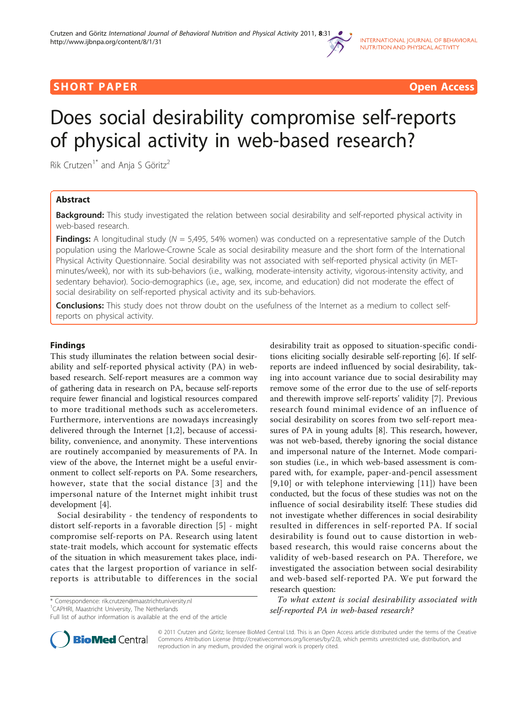

## **SHORT PAPER CONSIDER CONSIDERATION CONSIDERS AND LOCAL CONSIDERATION CONSIDERS AND LOCAL CONSIDERATION**

# Does social desirability compromise self-reports of physical activity in web-based research?

Rik Crutzen<sup>1\*</sup> and Anja S Göritz<sup>2</sup>

## Abstract

**Background:** This study investigated the relation between social desirability and self-reported physical activity in web-based research.

**Findings:** A longitudinal study ( $N = 5,495, 54\%$  women) was conducted on a representative sample of the Dutch population using the Marlowe-Crowne Scale as social desirability measure and the short form of the International Physical Activity Questionnaire. Social desirability was not associated with self-reported physical activity (in METminutes/week), nor with its sub-behaviors (i.e., walking, moderate-intensity activity, vigorous-intensity activity, and sedentary behavior). Socio-demographics (i.e., age, sex, income, and education) did not moderate the effect of social desirability on self-reported physical activity and its sub-behaviors.

**Conclusions:** This study does not throw doubt on the usefulness of the Internet as a medium to collect selfreports on physical activity.

## Findings

This study illuminates the relation between social desirability and self-reported physical activity (PA) in webbased research. Self-report measures are a common way of gathering data in research on PA, because self-reports require fewer financial and logistical resources compared to more traditional methods such as accelerometers. Furthermore, interventions are nowadays increasingly delivered through the Internet [[1,2\]](#page-2-0), because of accessibility, convenience, and anonymity. These interventions are routinely accompanied by measurements of PA. In view of the above, the Internet might be a useful environment to collect self-reports on PA. Some researchers, however, state that the social distance [[3](#page-2-0)] and the impersonal nature of the Internet might inhibit trust development [\[4](#page-2-0)].

Social desirability - the tendency of respondents to distort self-reports in a favorable direction [[5\]](#page-2-0) - might compromise self-reports on PA. Research using latent state-trait models, which account for systematic effects of the situation in which measurement takes place, indicates that the largest proportion of variance in selfreports is attributable to differences in the social

\* Correspondence: [rik.crutzen@maastrichtuniversity.nl](mailto:rik.crutzen@maastrichtuniversity.nl)

<sup>1</sup> CAPHRI, Maastricht University, The Netherlands

desirability trait as opposed to situation-specific conditions eliciting socially desirable self-reporting [\[6](#page-2-0)]. If selfreports are indeed influenced by social desirability, taking into account variance due to social desirability may remove some of the error due to the use of self-reports and therewith improve self-reports' validity [\[7\]](#page-2-0). Previous research found minimal evidence of an influence of social desirability on scores from two self-report measures of PA in young adults [\[8\]](#page-2-0). This research, however, was not web-based, thereby ignoring the social distance and impersonal nature of the Internet. Mode comparison studies (i.e., in which web-based assessment is compared with, for example, paper-and-pencil assessment [[9](#page-2-0),[10](#page-2-0)] or with telephone interviewing [[11\]](#page-2-0)) have been conducted, but the focus of these studies was not on the influence of social desirability itself: These studies did not investigate whether differences in social desirability resulted in differences in self-reported PA. If social desirability is found out to cause distortion in webbased research, this would raise concerns about the validity of web-based research on PA. Therefore, we investigated the association between social desirability and web-based self-reported PA. We put forward the research question:

To what extent is social desirability associated with self-reported PA in web-based research?



© 2011 Crutzen and Göritz; licensee BioMed Central Ltd. This is an Open Access article distributed under the terms of the Creative Commons Attribution License [\(http://creativecommons.org/licenses/by/2.0](http://creativecommons.org/licenses/by/2.0)), which permits unrestricted use, distribution, and reproduction in any medium, provided the original work is properly cited.

Full list of author information is available at the end of the article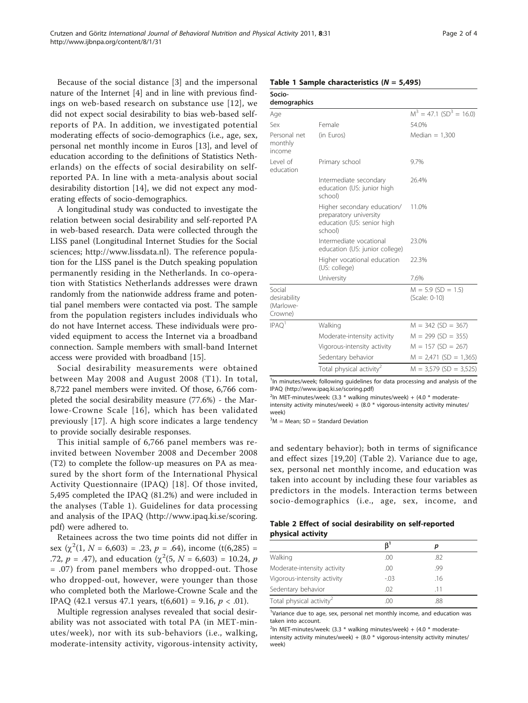Because of the social distance [\[3](#page-2-0)] and the impersonal nature of the Internet [[4\]](#page-2-0) and in line with previous findings on web-based research on substance use [[12\]](#page-2-0), we did not expect social desirability to bias web-based selfreports of PA. In addition, we investigated potential moderating effects of socio-demographics (i.e., age, sex, personal net monthly income in Euros [[13\]](#page-2-0), and level of education according to the definitions of Statistics Netherlands) on the effects of social desirability on selfreported PA. In line with a meta-analysis about social desirability distortion [[14\]](#page-2-0), we did not expect any moderating effects of socio-demographics.

A longitudinal study was conducted to investigate the relation between social desirability and self-reported PA in web-based research. Data were collected through the LISS panel (Longitudinal Internet Studies for the Social sciences; [http://www.lissdata.nl\)](http://www.lissdata.nl). The reference population for the LISS panel is the Dutch speaking population permanently residing in the Netherlands. In co-operation with Statistics Netherlands addresses were drawn randomly from the nationwide address frame and potential panel members were contacted via post. The sample from the population registers includes individuals who do not have Internet access. These individuals were provided equipment to access the Internet via a broadband connection. Sample members with small-band Internet access were provided with broadband [\[15](#page-3-0)].

Social desirability measurements were obtained between May 2008 and August 2008 (T1). In total, 8,722 panel members were invited. Of those, 6,766 completed the social desirability measure (77.6%) - the Marlowe-Crowne Scale [[16](#page-3-0)], which has been validated previously [[17\]](#page-3-0). A high score indicates a large tendency to provide socially desirable responses.

This initial sample of 6,766 panel members was reinvited between November 2008 and December 2008 (T2) to complete the follow-up measures on PA as measured by the short form of the International Physical Activity Questionnaire (IPAQ) [[18\]](#page-3-0). Of those invited, 5,495 completed the IPAQ (81.2%) and were included in the analyses (Table 1). Guidelines for data processing and analysis of the IPAQ ([http://www.ipaq.ki.se/scoring.](http://www.ipaq.ki.se/scoring.pdf) [pdf\)](http://www.ipaq.ki.se/scoring.pdf) were adhered to.

Retainees across the two time points did not differ in sex  $(\chi^2(1, N = 6,603) = .23, p = .64)$ , income (t(6,285) = .72,  $p = .47$ ), and education ( $\chi^2$ (5,  $N = 6,603$ ) = 10.24,  $p$ = .07) from panel members who dropped-out. Those who dropped-out, however, were younger than those who completed both the Marlowe-Crowne Scale and the IPAQ (42.1 versus 47.1 years,  $t(6,601) = 9.16$ ,  $p < .01$ ).

Multiple regression analyses revealed that social desirability was not associated with total PA (in MET-minutes/week), nor with its sub-behaviors (i.e., walking, moderate-intensity activity, vigorous-intensity activity,

#### Table 1 Sample characteristics  $(N = 5,495)$

|                                                                                                | $M^3 = 47.1$ (SD <sup>3</sup> = 16.0) |
|------------------------------------------------------------------------------------------------|---------------------------------------|
| Female                                                                                         | 54.0%                                 |
| (in Euros)                                                                                     | Median $= 1,300$                      |
| Primary school                                                                                 | 9.7%                                  |
| Intermediate secondary<br>education (US: junior high<br>school)                                | 26.4%                                 |
| Higher secondary education/<br>preparatory university<br>education (US: senior high<br>school) | 11.0%                                 |
| Intermediate vocational<br>education (US: junior college)                                      | 23.0%                                 |
| Higher vocational education<br>(US: college)                                                   | 22.3%                                 |
| University                                                                                     | 7.6%                                  |
|                                                                                                | $M = 5.9$ (SD = 1.5)<br>(Scale: 0-10) |
| Walking                                                                                        | $M = 342$ (SD = 367)                  |
| Moderate-intensity activity                                                                    | $M = 299$ (SD = 355)                  |
| Vigorous-intensity activity                                                                    | $M = 157 (SD = 267)$                  |
| Sedentary behavior                                                                             | $M = 2,471$ (SD = 1,365)              |
| Total physical activity <sup>2</sup>                                                           | $M = 3,579$ (SD = 3,525)              |
|                                                                                                |                                       |

<sup>1</sup>In minutes/week; following guidelines for data processing and analysis of the IPAQ [\(http://www.ipaq.ki.se/scoring.pdf](http://www.ipaq.ki.se/scoring.pdf))

 $2$ In MET-minutes/week: (3.3  $*$  walking minutes/week) + (4.0  $*$  moderateintensity activity minutes/week) +  $(8.0 * \text{ vigorous-intensity activity minutes}$ week)

 $3M$  = Mean; SD = Standard Deviation

and sedentary behavior); both in terms of significance and effect sizes [[19,20](#page-3-0)] (Table 2). Variance due to age, sex, personal net monthly income, and education was taken into account by including these four variables as predictors in the models. Interaction terms between socio-demographics (i.e., age, sex, income, and

## Table 2 Effect of social desirability on self-reported physical activity

|                                      | $\beta$ <sup>1</sup> | р   |
|--------------------------------------|----------------------|-----|
| Walking                              | .00                  | .82 |
| Moderate-intensity activity          | .00                  | .99 |
| Vigorous-intensity activity          | $-.03$               | .16 |
| Sedentary behavior                   | .02                  | -11 |
| Total physical activity <sup>2</sup> | .00                  | .88 |

<sup>1</sup>Variance due to age, sex, personal net monthly income, and education was taken into account.

 $2$ In MET-minutes/week: (3.3  $*$  walking minutes/week) + (4.0  $*$  moderateintensity activity minutes/week) + (8.0 \* vigorous-intensity activity minutes/ week)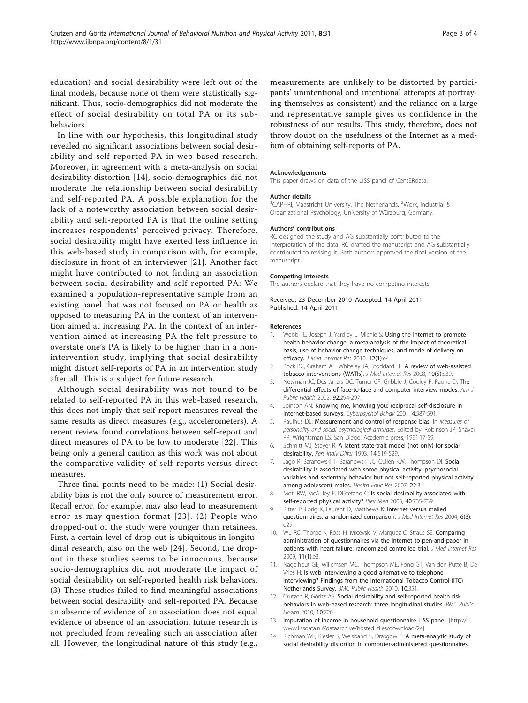<span id="page-2-0"></span>education) and social desirability were left out of the final models, because none of them were statistically significant. Thus, socio-demographics did not moderate the effect of social desirability on total PA or its subbehaviors.

In line with our hypothesis, this longitudinal study revealed no significant associations between social desirability and self-reported PA in web-based research. Moreover, in agreement with a meta-analysis on social desirability distortion [14], socio-demographics did not moderate the relationship between social desirability and self-reported PA. A possible explanation for the lack of a noteworthy association between social desirability and self-reported PA is that the online setting increases respondents' perceived privacy. Therefore, social desirability might have exerted less influence in this web-based study in comparison with, for example, disclosure in front of an interviewer [[21\]](#page-3-0). Another fact might have contributed to not finding an association between social desirability and self-reported PA: We examined a population-representative sample from an existing panel that was not focused on PA or health as opposed to measuring PA in the context of an intervention aimed at increasing PA. In the context of an intervention aimed at increasing PA the felt pressure to overstate one's PA is likely to be higher than in a nonintervention study, implying that social desirability might distort self-reports of PA in an intervention study after all. This is a subject for future research.

Although social desirability was not found to be related to self-reported PA in this web-based research, this does not imply that self-report measures reveal the same results as direct measures (e.g., accelerometers). A recent review found correlations between self-report and direct measures of PA to be low to moderate [\[22](#page-3-0)]. This being only a general caution as this work was not about the comparative validity of self-reports versus direct measures.

Three final points need to be made: (1) Social desirability bias is not the only source of measurement error. Recall error, for example, may also lead to measurement error as may question format [[23](#page-3-0)]. (2) People who dropped-out of the study were younger than retainees. First, a certain level of drop-out is ubiquitous in longitudinal research, also on the web [[24\]](#page-3-0). Second, the dropout in these studies seems to be innocuous, because socio-demographics did not moderate the impact of social desirability on self-reported health risk behaviors. (3) These studies failed to find meaningful associations between social desirability and self-reported PA. Because an absence of evidence of an association does not equal evidence of absence of an association, future research is not precluded from revealing such an association after all. However, the longitudinal nature of this study (e.g.,

measurements are unlikely to be distorted by participants' unintentional and intentional attempts at portraying themselves as consistent) and the reliance on a large and representative sample gives us confidence in the robustness of our results. This study, therefore, does not throw doubt on the usefulness of the Internet as a medium of obtaining self-reports of PA.

#### Acknowledgements

This paper draws on data of the LISS panel of CentERdata.

#### Author details

<sup>1</sup>CAPHRI, Maastricht University, The Netherlands. <sup>2</sup>Work, Industrial & Organizational Psychology, University of Würzburg, Germany.

#### Authors' contributions

RC designed the study and AG substantially contributed to the interpretation of the data. RC drafted the manuscript and AG substantially contributed to revising it. Both authors approved the final version of the manuscript.

#### Competing interests

The authors declare that they have no competing interests.

Received: 23 December 2010 Accepted: 14 April 2011 Published: 14 April 2011

#### References

- Webb TL, Joseph J, Yardley L, Michie S: [Using the Internet to promote](http://www.ncbi.nlm.nih.gov/pubmed/20164043?dopt=Abstract) [health behavior change: a meta-analysis of the impact of theoretical](http://www.ncbi.nlm.nih.gov/pubmed/20164043?dopt=Abstract) [basis, use of behavior change techniques, and mode of delivery on](http://www.ncbi.nlm.nih.gov/pubmed/20164043?dopt=Abstract) [efficacy.](http://www.ncbi.nlm.nih.gov/pubmed/20164043?dopt=Abstract) J Med Internet Res 2010, 12(1):e4.
- 2. Bock BC, Graham AL, Whiteley JA, Stoddard JL: [A review of web-assisted](http://www.ncbi.nlm.nih.gov/pubmed/19000979?dopt=Abstract) [tobacco interventions \(WATIs\).](http://www.ncbi.nlm.nih.gov/pubmed/19000979?dopt=Abstract) J Med Internet Res 2008, 10(5):e39
- 3. Newman JC, Des Jarlais DC, Turner CF, Gribble J, Cooley P, Paone D: [The](http://www.ncbi.nlm.nih.gov/pubmed/11818309?dopt=Abstract) [differential effects of face-to-face and computer interview modes.](http://www.ncbi.nlm.nih.gov/pubmed/11818309?dopt=Abstract) Am J Public Health 2002, 92:294-297.
- 4. Joinson AN: [Knowing me, knowing you: reciprocal self-disclosure in](http://www.ncbi.nlm.nih.gov/pubmed/11725651?dopt=Abstract) [Internet-based surveys.](http://www.ncbi.nlm.nih.gov/pubmed/11725651?dopt=Abstract) Cyberpsychol Behav 2001, 4:587-591.
- 5. Paulhus DL: Measurement and control of response bias. In Measures of personality and social psychological attitudes. Edited by: Robinson JP, Shaver PR, Wrightsman LS. San Diego: Academic press; 1991:17-59.
- 6. Schmitt MJ, Steyer R: A latent state-trait model (not only) for social desirability. Pers Indiv Differ 1993, 14:519-529.
- 7. Jago R, Baranowski T, Baranowski JC, Cullen KW, Thompson DI: Social desirability is associated with some physical activity, psychosocial variables and sedentary behavior but not self-reported physical activity among adolescent males. Health Educ Res 2007, 22:3.
- 8. Motl RW, McAuley E, DiStefano C: [Is social desirability associated with](http://www.ncbi.nlm.nih.gov/pubmed/15850873?dopt=Abstract) [self-reported physical activity?](http://www.ncbi.nlm.nih.gov/pubmed/15850873?dopt=Abstract) Prev Med 2005, 40:735-739
- 9. Ritter P, Lorig K, Laurent D, Matthews K: [Internet versus mailed](http://www.ncbi.nlm.nih.gov/pubmed/15471755?dopt=Abstract) [questionnaires: a randomized comparison.](http://www.ncbi.nlm.nih.gov/pubmed/15471755?dopt=Abstract) J Med Internet Res 2004, 6(3): e29
- 10. Wu RC, Thorpe K, Ross H, Micevski V, Marquez C, Straus SE: [Comparing](http://www.ncbi.nlm.nih.gov/pubmed/19275979?dopt=Abstract) [administration of questionnaires via the Internet to pen-and-paper in](http://www.ncbi.nlm.nih.gov/pubmed/19275979?dopt=Abstract) [patients with heart failure: randomized controlled trial.](http://www.ncbi.nlm.nih.gov/pubmed/19275979?dopt=Abstract) J Med Internet Res 2009, 11(1):e3.
- 11. Nagelhout GE, Willemsen MC, Thompson ME, Fong GT, Van den Putte B, De Vries H: [Is web interviewing a good alternative to telephone](http://www.ncbi.nlm.nih.gov/pubmed/20565838?dopt=Abstract) [interviewing? Findings from the International Tobacco Control \(ITC\)](http://www.ncbi.nlm.nih.gov/pubmed/20565838?dopt=Abstract) [Netherlands Survey.](http://www.ncbi.nlm.nih.gov/pubmed/20565838?dopt=Abstract) BMC Public Health 2010, 10:351.
- 12. Crutzen R, Göritz AS: [Social desirability and self-reported health risk](http://www.ncbi.nlm.nih.gov/pubmed/21092267?dopt=Abstract) [behaviors in web-based research: three longitudinal studies.](http://www.ncbi.nlm.nih.gov/pubmed/21092267?dopt=Abstract) BMC Public Health 2010, 10:720.
- 13. Imputation of income in household questionnaire LISS panel. [\[http://](http://www.lissdata.nl//dataarchive/hosted_files/download/24) [www.lissdata.nl//dataarchive/hosted\\_files/download/24](http://www.lissdata.nl//dataarchive/hosted_files/download/24)].
- 14. Richman WL, Kiesler S, Weisband S, Drasgow F: A meta-analytic study of social desirability distortion in computer-administered questionnaires,